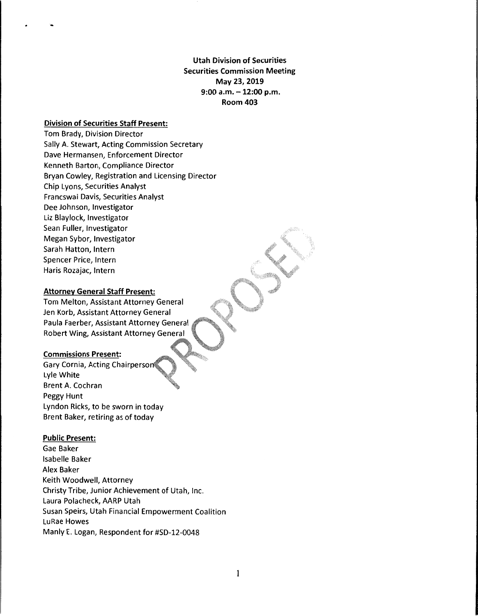**Utah Division of Securities Securities Commission Meeting May 23, 2019 9:00 a.m.** - **12:00 p.m. Room 403** 

## **Division of Securities Staff Present:**

Tom Brady, Division Director Sally A. Stewart, Acting Commission Secretary Dave Hermansen, Enforcement Director Kenneth Barton, Compliance Director Bryan Cowley, Registration and Licensing Director Chip Lyons, Securities Analyst Francswai Davis, Securities Analyst Dee Johnson, Investigator Liz Blaylock, Investigator Sean Fuller, Investigator Megan Sybor, Investigator Sarah Hatton, Intern Spencer Price, Intern Haris Rozajac, Intern

# **Attorney General Staff Present:**

Tom Melton, Assistant Attorney General Jen Korb, Assistant Attorney General Paula Faerber, Assistant Attorney General Robert Wing, Assistant Attorney General

#### **Commissions Present:**

Gary Cornia, Acting Chairperso Lyle White Brent A. Cochran Peggy Hunt Lyndon Ricks, to be sworn in today Brent Baker, retiring as of today

#### **Public Present:**

Gae Baker Isabelle Baker Alex Baker Keith Woodwell, Attorney Christy Tribe, Junior Achievement of Utah, Inc. Laura Polacheck, AARP Utah Susan Speirs, Utah Financial Empowerment Coalition LuRae Howes Manly E. Logan, Respondent for #SD-12-0048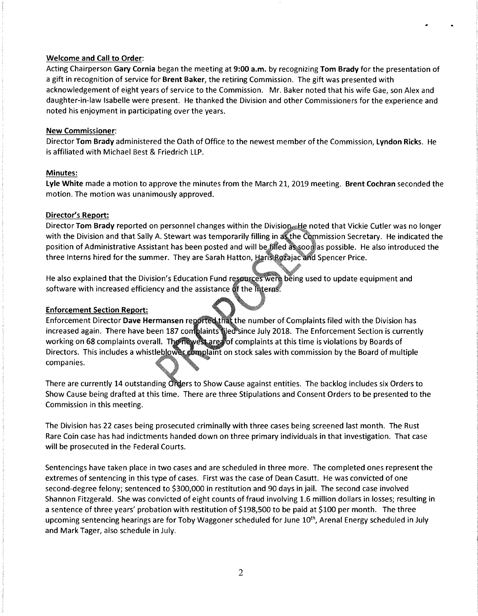## **Welcome and Call to Order:**

Acting Chairperson **Gary Cornia** began the meeting at **9:00 a.m.** by recognizing **Tom Brady** for the presentation of a gift in recognition of service for **Brent Baker,** the retiring Commission. The gift was presented with acknowledgement of eight years of service to the Commission. Mr. Baker noted that his wife Gae, son Alex and daughter-in-law Isabelle were present. He thanked the Division and other Commissioners for the experience and noted his enjoyment in participating over the years.

# **New Commissioner:**

Director **Tom Brady** administered the Oath of Office to the newest member of the Commission, **Lyndon Ricks.** He is affiliated with Michael Best & Friedrich LLP.

# **Minutes:**

**Lyle White** made a motion to approve the minutes from the March 21, 2019 meeting. **Brent Cochran** seconded the motion. The motion was unanimously approved.

# **Director's Report:**

Director **Tom Brady** reported on personnel changes within the Division. He noted that Vickie Cutler was no longer with the Division and that Sally A. Stewart was temporarily filling in as the Commission Secretary. He indicated the position of Administrative Assistant has been posted and will be filled as soon as possible. He also introduced the three Interns hired for the summer. They are Sarah Hatton, Haris Rozajac and Spencer Price.

He also explained that the Division's Education Fund resources were being used to update equipment and software with increased efficiency and the assistance of the literas.

## **Enforcement Section Report:**

Enforcement Director **Dave Hermansen** reported that the number of Complaints filed with the Division has increased again. There have been 187 complaints iled since July 2018. The Enforcement Section is currently working on 68 complaints overall. The newest area of complaints at this time is violations by Boards of Directors. This includes a whistleblower complaint on stock sales with commission by the Board of multiple companies.

There are currently 14 outstanding Orders to Show Cause against entities. The backlog includes six Orders to Show Cause being drafted at this time. There are three Stipulations and Consent Orders to be presented to the Commission in this meeting.

The Division has 22 cases being prosecuted criminally with three cases being screened last month. The Rust Rare Coin case has had indictments handed down on three primary individuals in that investigation. That case will be prosecuted in the Federal Courts.

Sentencings have taken place in two cases and are scheduled in three more. The completed ones represent the extremes of sentencing in this type of cases. First was the case of Dean Casutt. He was convicted of one second-degree felony; sentenced to \$300,000 in restitution and 90 days in jail. The second case involved Shannon Fitzgerald. She was convicted of eight counts of fraud involving 1.6 million dollars in losses; resulting in a sentence of three years' probation with restitution of \$198,500 to be paid at \$100 per month. The three upcoming sentencing hearings are for Toby Waggoner scheduled for June 10<sup>th</sup>, Arenal Energy scheduled in July and Mark Tager, also schedule in July.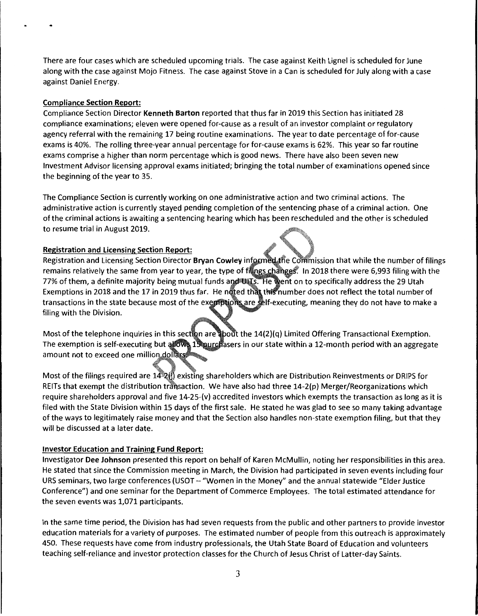There are four cases which are scheduled upcoming trials. The case against Keith Lignel is scheduled for June along with the case against Mojo Fitness. The case against Stove in a Can is scheduled for July along with a case against Daniel Energy.

# **Compliance Section Report:**

Compliance Section Director **Kenneth Barton** reported that thus far in 2019 this Section has initiated 28 compliance examinations; eleven were opened for-cause as a result of an investor complaint or regulatory agency referral with the remaining 17 being routine examinations. The year to date percentage of for-cause exams is 40%. The rolling three-year annual percentage for for-cause exams is 62%. This year so far routine exams comprise a higher than norm percentage which is good news. There have also been seven new Investment Advisor licensing approval exams initiated; bringing the total number of examinations opened since the beginning of the year to 35.

The Compliance Section is currently working on one administrative action and two criminal actions. The administrative action is currently stayed pending completion of the sentencing phase of a criminal action. One of the criminal actions is awaiting a sentencing hearing which has been rescheduled and the other is scheduled to resume trial in August 2019.

# **Registration and Licensing Section Report:**

Registration and Licensing Section Director **Bryan Cowley** informed the Commission that while the number of filings remains relatively the same from year to year, the type of filings changes. In 2018 there were 6,993 filing with the 77% of them, a definite majority being mutual funds and UITs. He went on to specifically address the 29 Utah Exemptions in 2018 and the 17 in 2019 thus far. He noted that this number does not reflect the total number of transactions in the state because most of the exemptions are self-executing, meaning they do not have to make a filing with the Division.

Most of the telephone inquiries in this section are about the 14(2)(q) Limited Offering Transactional Exemption. The exemption is self-executing but allows 15 <u>purc</u>hasers in our state within a 12-month period with an aggregate amount not to exceed one million dollars

Most of the filings required are 14-2  $\frac{1}{2}$  existing shareholders which are Distribution Reinvestments or DRIPS for REITs that exempt the distribution transaction. We have also had three  $14-2(p)$  Merger/Reorganizations which require shareholders approval and five 14-25-(v) accredited investors which exempts the transaction as long as it is filed with the State Division within 15 days of the first sale. He stated he was glad to see so many taking advantage of the ways to legitimately raise money and that the Section also handles non-state exemption filing, but that they will be discussed at a later date.

# **Investor Education and Training Fund Report:**

Investigator **Dee Johnson** presented this report on behalf of Karen McMullin, noting her responsibilities in this area. He stated that since the Commission meeting in March, the Division had participated in seven events including four URS seminars, two large conferences (USOT - "Women in the Money" and the annual statewide "Elder Justice Conference") and one seminar for the Department of Commerce Employees. The total estimated attendance for the seven events was 1,071 participants.

In the same time period, the Division has had seven requests from the public and other partners to provide investor education materials for a variety of purposes. The estimated number of people from this outreach is approximately 450. These requests have come from industry professionals, the Utah State Board of Education and volunteers teaching self-reliance and investor protection classes for the Church of Jesus Christ of Latter-day Saints.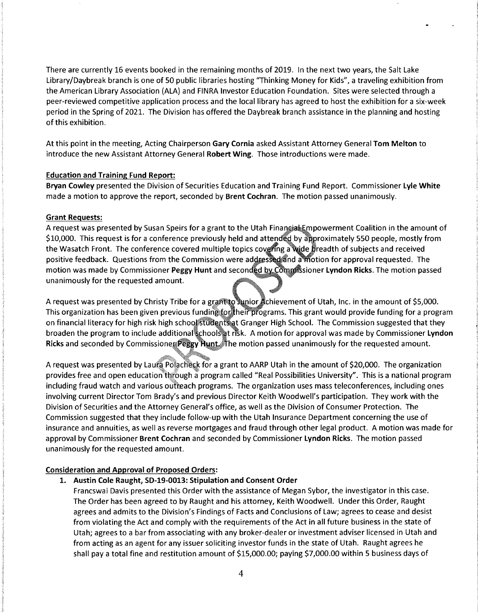There are currently 16 events booked in the remaining months of 2019. In the next two years, the Salt Lake Library/Daybreak branch is one of 50 public libraries hosting "Thinking Money for Kids", a traveling exhibition from the American Library Association (ALA) and FINRA Investor Education Foundation. Sites were selected through a peer-reviewed competitive application process and the local library has agreed to host the exhibition for a six-week period in the Spring of 2021. The Division has offered the Daybreak branch assistance in the planning and hosting of this exhibition.

At this point in the meeting, Acting Chairperson **Gary Cornia** asked Assistant Attorney General **Tom Melton** to introduce the new Assistant Attorney General **Robert Wing.** Those introductions were made.

### **Education and Training Fund Report:**

**Bryan Cowley** presented the Division of Securities Education and Training Fund Report. Commissioner **Lyle White**  made a motion to approve the report, seconded by **Brent Cochran.** The motion passed unanimously.

#### **Grant Requests:**

A request was presented by Susan Speirs for a grant to the Utah Financial Empowerment Coalition in the amount of \$10,000. This request is for a conference previously held and attended by approximately 550 people, mostly from the Wasatch Front. The conference covered multiple topics covering a wide breadth of subjects and received positive feedback. Questions from the Commission were addressed and a motion for approval requested. The motion was made by Commissioner Peggy Hunt and seconded by Commissioner Lyndon Ricks. The motion passed unanimously for the requested amount.

A request was presented by Christy Tribe for a grant to Junior Achievement of Utah, Inc. in the amount of \$5,000. This organization has been given previous funding for their programs. This grant would provide funding for a program on financial literacy for high risk high school students at Granger High School. The Commission suggested that they broaden the program to include additional schools at risk. A motion for approval was made by Commissioner **Lyndon** Ricks and seconded by Commissioner Peggy Hunt. The motion passed unanimously for the requested amount.

A request was presented by Laura Polacheck for a grant to AARP Utah in the amount of \$20,000. The organization provides free and open education through a program called "Real Possibilities University". This is a national program including fraud watch and various outreach programs. The organization uses mass teleconferences, including ones involving current Director Tom Brady's and previous Director Keith Woodwell's participation. They work with the Division of Securities and the Attorney General's office, as well as the Division of Consumer Protection. The Commission suggested that they include follow-up with the Utah Insurance Department concerning the use of insurance and annuities, as well as reverse mortgages and fraud through other legal product. A motion was made for approval by Commissioner **Brent Cochran** and seconded by Commissioner **Lyndon Ricks.** The motion passed unanimously for the requested amount.

#### **Consideration and Approval of Proposed Orders:**

**1. Austin Cole Raught, SD-19-0013: Stipulation and Consent Order** 

Francswai Davis presented this Order with the assistance of Megan Sybor, the investigator in this case. The Order has been agreed to by Raught and his attorney, Keith Woodwell. Under this Order, Raught agrees and admits to the Division's Findings of Facts and Conclusions of Law; agrees to cease and desist from violating the Act and comply with the requirements of the Act in all future business in the state of Utah; agrees to a bar from associating with any broker-dealer or investment adviser licensed in Utah and from acting as an agent for any issuer soliciting investor funds in the state of Utah. Raught agrees he shall pay a total fine and restitution amount of \$15,000.00; paying \$7,000.00 within 5 business days of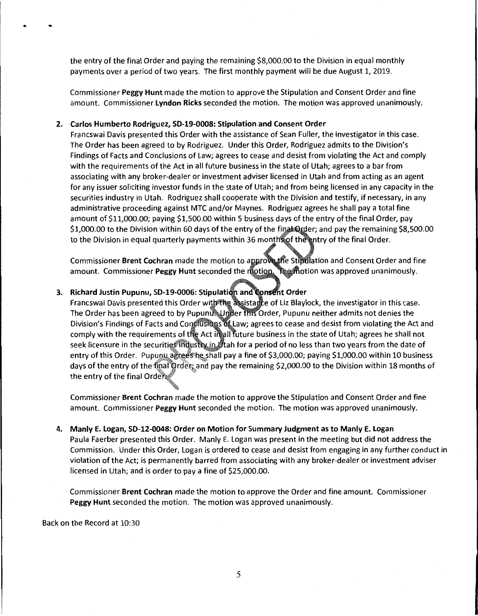the entry of the final Order and paying the remaining \$8,000.00 to the Division in equal monthly payments over a period of two years. The first monthly payment will be due August 1, 2019.

Commissioner **Peggy Hunt** made the motion to approve the Stipulation and Consent Order and fine amount. Commissioner **Lyndon Ricks** seconded the motion. The motion was approved unanimously.

# **2. Carlos Humberto Rodriguez, SD-19-0008: Stipulation and Consent Order**

Francswai Davis presented this Order with the assistance of Sean Fuller, the investigator in this case. The Order has been agreed to by Rodriguez. Under this Order, Rodriguez admits to the Division's Findings of Facts and Conclusions of Law; agrees to cease and desist from violating the Act and comply with the requirements of the Act in all future business in the state of Utah; agrees to a bar from associating with any broker-dealer or investment adviser licensed in Utah and from acting as an agent for any issuer soliciting investor funds in the state of Utah; and from being licensed in any capacity in the securities industry in Utah. Rodriguez shall cooperate with the Division and testify, if necessary, in any administrative proceeding against MTC and/or Maynes. Rodriguez agrees he shall pay a total fine amount of \$11,000.00; paying \$1,500.00 within 5 business days of the entry of the final Order, pay \$1,000.00 to the Division within 60 days of the entry of the final Order; and pay the remaining \$8,500.00 to the Division in equal quarterly payments within 36 months of the entry of the final Order.

Commissioner Brent Cochran made the motion to approve the Stipulation and Consent Order and fine amount. Commissioner Peggy Hunt seconded the motion. The motion was approved unanimously.

# 3. Richard Justin Pupunu, SD-19-0006: Stipulation and **Consent Order**

Francswai Davis presented this Order with the assistance of Liz Blaylock, the investigator in this case. The Order has been agreed to by Pupunu. Under this Order, Pupunu neither admits not denies the Division's Findings of Facts and Conclusions of Law; agrees to cease and desist from violating the Act and comply with the requirements of the Act in all future business in the state of Utah; agrees he shall not seek licensure in the securities industry in litah for a period of no less than two years from the date of entry of this Order. Pupuny agrees he shall pay a fine of \$3,000.00; paying \$1,000.00 within 10 business days of the entry of the tinal Order; and pay the remaining \$2,000.00 to the Division within 18 months of the entry of the final Orde

Commissioner **Brent Cochran** made the motion to approve the Stipulation and Consent Order and fine amount. Commissioner **Peggy Hunt** seconded the motion. The motion was approved unanimously.

**4. Manly** E. **Logan, SD-12-0048: Order on Motion for Summary Judgment as to Manly E. Logan**  Paula Faerber presented this Order. Manly E. Logan was present in the meeting but did not address the Commission. Under this Order, Logan is ordered to cease and desist from engaging in any further conduct in violation of the Act; is permanently barred from associating with any broker-dealer or investment adviser licensed in Utah; and is order to pay a fine of \$25,000.00.

Commissioner **Brent Cochran** made the motion to approve the Order and fine amount. Commissioner **Peggy Hunt** seconded the motion. The motion was approved unanimously.

Back on the Record at 10:30

• •